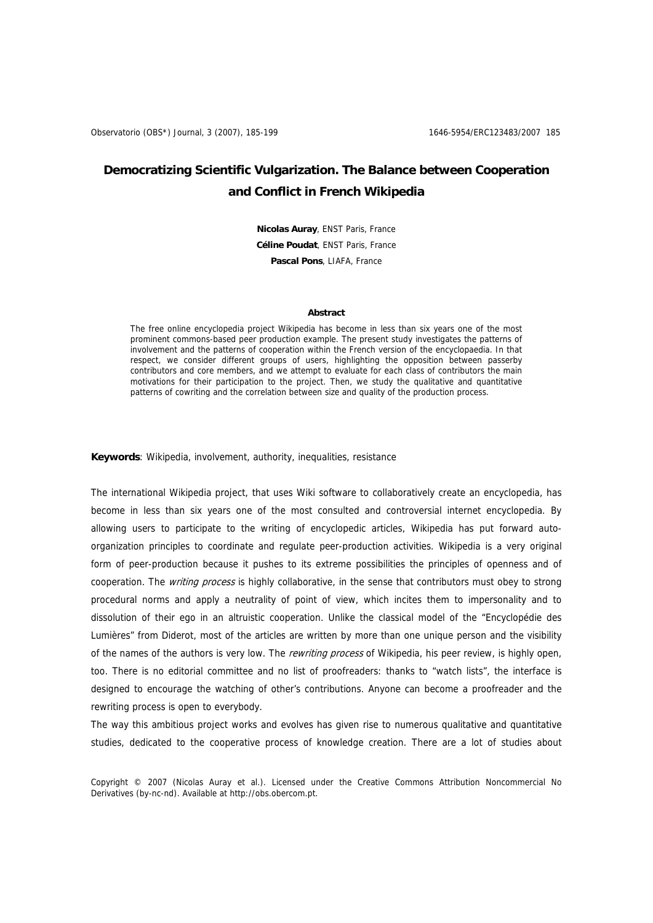# **Democratizing Scientific Vulgarization. The Balance between Cooperation and Conflict in French Wikipedia**

**Nicolas Auray**, ENST Paris, France **Céline Poudat**, ENST Paris, France **Pascal Pons**, LIAFA, France

#### **Abstract**

The free online encyclopedia project Wikipedia has become in less than six years one of the most prominent commons-based peer production example. The present study investigates the patterns of involvement and the patterns of cooperation within the French version of the encyclopaedia. In that respect, we consider different groups of users, highlighting the opposition between passerby contributors and core members, and we attempt to evaluate for each class of contributors the main motivations for their participation to the project. Then, we study the qualitative and quantitative patterns of cowriting and the correlation between size and quality of the production process.

**Keywords**: Wikipedia, involvement, authority, inequalities, resistance

The international Wikipedia project, that uses Wiki software to collaboratively create an encyclopedia, has become in less than six years one of the most consulted and controversial internet encyclopedia. By allowing users to participate to the writing of encyclopedic articles, Wikipedia has put forward autoorganization principles to coordinate and regulate peer-production activities. Wikipedia is a very original form of peer-production because it pushes to its extreme possibilities the principles of openness and of cooperation. The *writing process* is highly collaborative, in the sense that contributors must obey to strong procedural norms and apply a neutrality of point of view, which incites them to impersonality and to dissolution of their ego in an altruistic cooperation. Unlike the classical model of the "Encyclopédie des Lumières" from Diderot, most of the articles are written by more than one unique person and the visibility of the names of the authors is very low. The rewriting process of Wikipedia, his peer review, is highly open, too. There is no editorial committee and no list of proofreaders: thanks to "watch lists", the interface is designed to encourage the watching of other's contributions. Anyone can become a proofreader and the rewriting process is open to everybody.

The way this ambitious project works and evolves has given rise to numerous qualitative and quantitative studies, dedicated to the cooperative process of knowledge creation. There are a lot of studies about

Copyright © 2007 (Nicolas Auray et al.). Licensed under the Creative Commons Attribution Noncommercial No Derivatives (by-nc-nd). Available at http://obs.obercom.pt.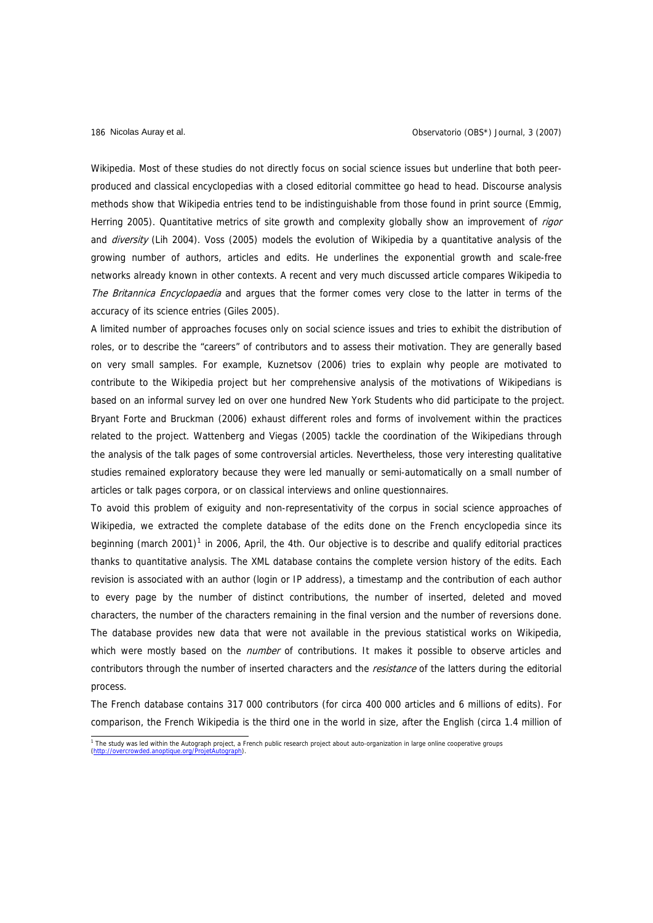Wikipedia. Most of these studies do not directly focus on social science issues but underline that both peerproduced and classical encyclopedias with a closed editorial committee go head to head. Discourse analysis methods show that Wikipedia entries tend to be indistinguishable from those found in print source (Emmig, Herring 2005). Quantitative metrics of site growth and complexity globally show an improvement of *rigor* and diversity (Lih 2004). Voss (2005) models the evolution of Wikipedia by a quantitative analysis of the growing number of authors, articles and edits. He underlines the exponential growth and scale-free networks already known in other contexts. A recent and very much discussed article compares Wikipedia to The Britannica Encyclopaedia and argues that the former comes very close to the latter in terms of the accuracy of its science entries (Giles 2005).

A limited number of approaches focuses only on social science issues and tries to exhibit the distribution of roles, or to describe the "careers" of contributors and to assess their motivation. They are generally based on very small samples. For example, Kuznetsov (2006) tries to explain why people are motivated to contribute to the Wikipedia project but her comprehensive analysis of the motivations of Wikipedians is based on an informal survey led on over one hundred New York Students who did participate to the project. Bryant Forte and Bruckman (2006) exhaust different roles and forms of involvement within the practices related to the project. Wattenberg and Viegas (2005) tackle the coordination of the Wikipedians through the analysis of the talk pages of some controversial articles. Nevertheless, those very interesting qualitative studies remained exploratory because they were led manually or semi-automatically on a small number of articles or talk pages corpora, or on classical interviews and online questionnaires.

To avoid this problem of exiguity and non-representativity of the corpus in social science approaches of Wikipedia, we extracted the complete database of the edits done on the French encyclopedia since its beginning (march 200[1](#page-1-0))<sup>1</sup> in 2006, April, the 4th. Our objective is to describe and qualify editorial practices thanks to quantitative analysis. The XML database contains the complete version history of the edits. Each revision is associated with an author (login or IP address), a timestamp and the contribution of each author to every page by the number of distinct contributions, the number of inserted, deleted and moved characters, the number of the characters remaining in the final version and the number of reversions done. The database provides new data that were not available in the previous statistical works on Wikipedia, which were mostly based on the *number* of contributions. It makes it possible to observe articles and contributors through the number of inserted characters and the *resistance* of the latters during the editorial process.

The French database contains 317 000 contributors (for circa 400 000 articles and 6 millions of edits). For comparison, the French Wikipedia is the third one in the world in size, after the English (circa 1.4 million of

<span id="page-1-0"></span> 1 The study was led within the Autograph project, a French public research project about auto-organization in large online cooperative groups  $(**http://**)$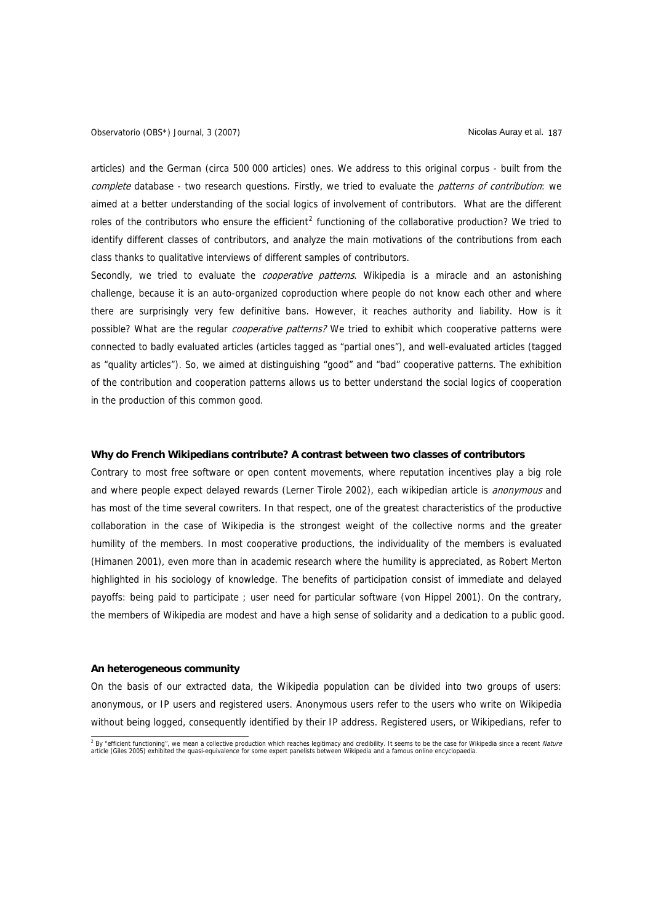articles) and the German (circa 500 000 articles) ones. We address to this original corpus - built from the complete database - two research questions. Firstly, we tried to evaluate the patterns of contribution: we aimed at a better understanding of the social logics of involvement of contributors. What are the different roles of the contributors who ensure the efficient<sup>[2](#page-2-0)</sup> functioning of the collaborative production? We tried to identify different classes of contributors, and analyze the main motivations of the contributions from each class thanks to qualitative interviews of different samples of contributors.

Secondly, we tried to evaluate the *cooperative patterns*. Wikipedia is a miracle and an astonishing challenge, because it is an auto-organized coproduction where people do not know each other and where there are surprisingly very few definitive bans. However, it reaches authority and liability. How is it possible? What are the regular *cooperative patterns?* We tried to exhibit which cooperative patterns were connected to badly evaluated articles (articles tagged as "partial ones"), and well-evaluated articles (tagged as "quality articles"). So, we aimed at distinguishing "good" and "bad" cooperative patterns. The exhibition of the contribution and cooperation patterns allows us to better understand the social logics of cooperation in the production of this common good.

## **Why do French Wikipedians contribute? A contrast between two classes of contributors**

Contrary to most free software or open content movements, where reputation incentives play a big role and where people expect delayed rewards (Lerner Tirole 2002), each wikipedian article is *anonymous* and has most of the time several cowriters. In that respect, one of the greatest characteristics of the productive collaboration in the case of Wikipedia is the strongest weight of the collective norms and the greater humility of the members. In most cooperative productions, the individuality of the members is evaluated (Himanen 2001), even more than in academic research where the humility is appreciated, as Robert Merton highlighted in his sociology of knowledge. The benefits of participation consist of immediate and delayed payoffs: being paid to participate ; user need for particular software (von Hippel 2001). On the contrary, the members of Wikipedia are modest and have a high sense of solidarity and a dedication to a public good.

## **An heterogeneous community**

On the basis of our extracted data, the Wikipedia population can be divided into two groups of users: anonymous, or IP users and registered users. Anonymous users refer to the users who write on Wikipedia without being logged, consequently identified by their IP address. Registered users, or Wikipedians, refer to

<span id="page-2-0"></span>and the state of the temperature in the mean a collective production which reaches legitimacy and credibility. It seems to be the case for Wikipedia since a recent *Nature*<br>article (Giles 2005) exhibited the quasi-equivale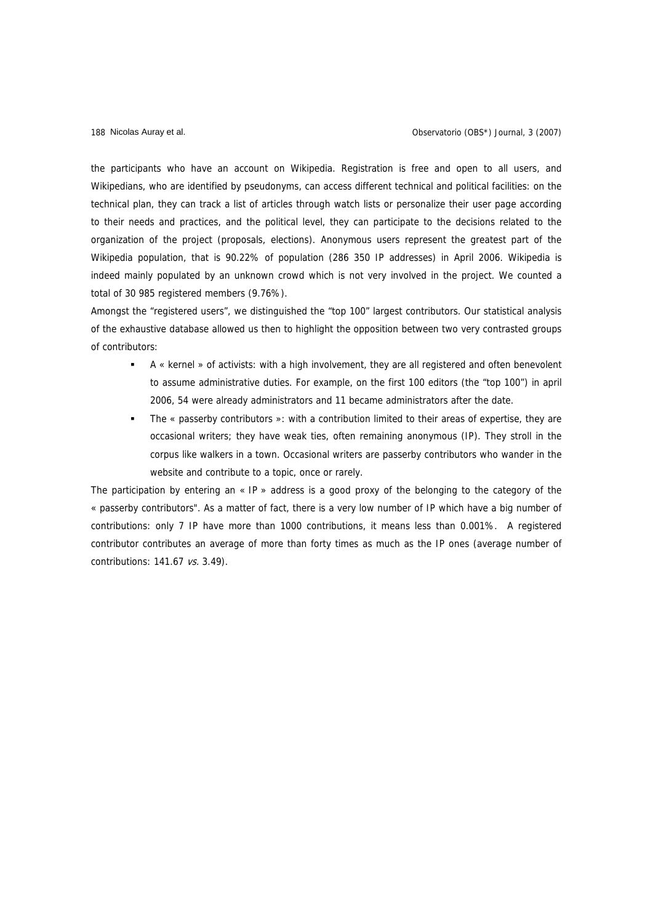the participants who have an account on Wikipedia. Registration is free and open to all users, and Wikipedians, who are identified by pseudonyms, can access different technical and political facilities: on the technical plan, they can track a list of articles through watch lists or personalize their user page according to their needs and practices, and the political level, they can participate to the decisions related to the organization of the project (proposals, elections). Anonymous users represent the greatest part of the Wikipedia population, that is 90.22% of population (286 350 IP addresses) in April 2006. Wikipedia is indeed mainly populated by an unknown crowd which is not very involved in the project. We counted a total of 30 985 registered members (9.76%).

Amongst the "registered users", we distinguished the "top 100" largest contributors. Our statistical analysis of the exhaustive database allowed us then to highlight the opposition between two very contrasted groups of contributors:

- A « kernel » of activists: with a high involvement, they are all registered and often benevolent to assume administrative duties. For example, on the first 100 editors (the "top 100") in april 2006, 54 were already administrators and 11 became administrators after the date.
- The « passerby contributors »: with a contribution limited to their areas of expertise, they are occasional writers; they have weak ties, often remaining anonymous (IP). They stroll in the corpus like walkers in a town. Occasional writers are passerby contributors who wander in the website and contribute to a topic, once or rarely.

The participation by entering an  $\ll$  IP » address is a good proxy of the belonging to the category of the « passerby contributors". As a matter of fact, there is a very low number of IP which have a big number of contributions: only 7 IP have more than 1000 contributions, it means less than 0.001%. A registered contributor contributes an average of more than forty times as much as the IP ones (average number of contributions: 141.67 vs. 3.49).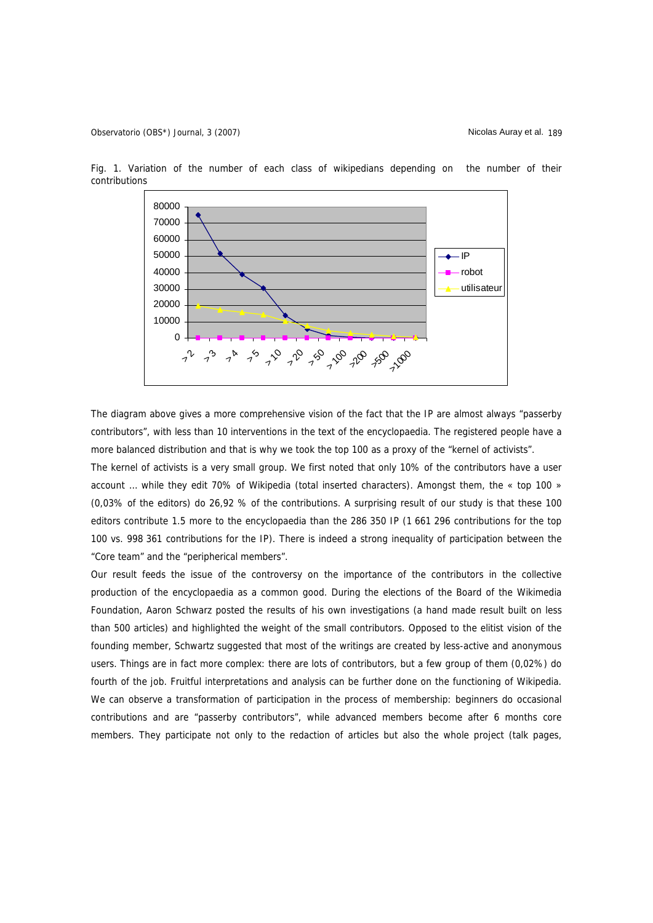

Fig. 1. Variation of the number of each class of wikipedians depending on the number of their contributions

The diagram above gives a more comprehensive vision of the fact that the IP are almost always "passerby contributors", with less than 10 interventions in the text of the encyclopaedia. The registered people have a more balanced distribution and that is why we took the top 100 as a proxy of the "kernel of activists".

The kernel of activists is a very small group. We first noted that only 10% of the contributors have a user account … while they edit 70% of Wikipedia (total inserted characters). Amongst them, the « top 100 » (0,03% of the editors) do 26,92 % of the contributions. A surprising result of our study is that these 100 editors contribute 1.5 more to the encyclopaedia than the 286 350 IP (1 661 296 contributions for the top 100 vs. 998 361 contributions for the IP). There is indeed a strong inequality of participation between the "Core team" and the "peripherical members".

Our result feeds the issue of the controversy on the importance of the contributors in the collective production of the encyclopaedia as a common good. During the elections of the Board of the Wikimedia Foundation, Aaron Schwarz posted the results of his own investigations (a hand made result built on less than 500 articles) and highlighted the weight of the small contributors. Opposed to the elitist vision of the founding member, Schwartz suggested that most of the writings are created by less-active and anonymous users. Things are in fact more complex: there are lots of contributors, but a few group of them (0,02%) do fourth of the job. Fruitful interpretations and analysis can be further done on the functioning of Wikipedia. We can observe a transformation of participation in the process of membership: beginners do occasional contributions and are "passerby contributors", while advanced members become after 6 months core members. They participate not only to the redaction of articles but also the whole project (talk pages,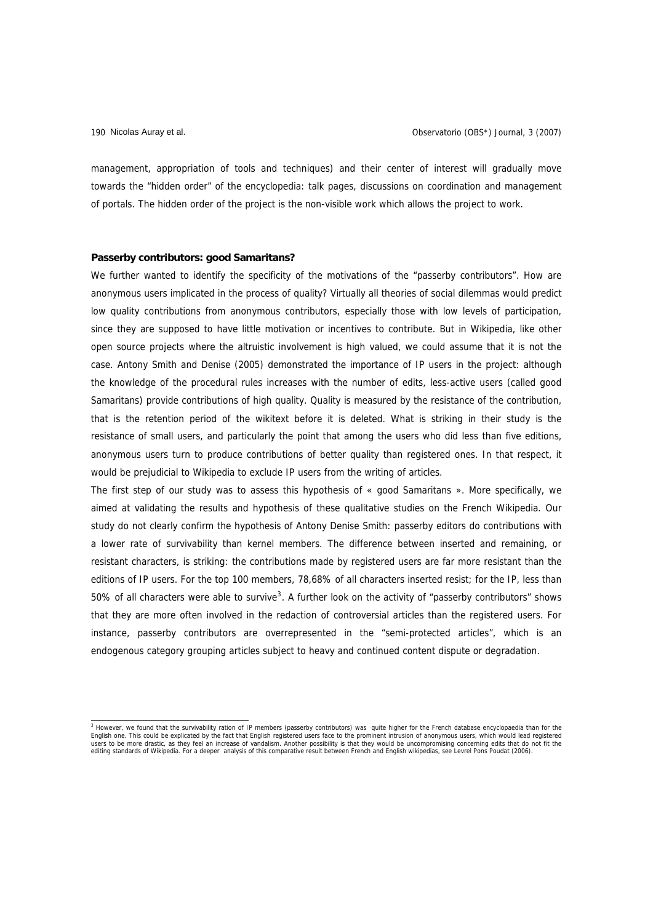management, appropriation of tools and techniques) and their center of interest will gradually move towards the "hidden order" of the encyclopedia: talk pages, discussions on coordination and management of portals. The hidden order of the project is the non-visible work which allows the project to work.

# **Passerby contributors: good Samaritans?**

We further wanted to identify the specificity of the motivations of the "passerby contributors". How are anonymous users implicated in the process of quality? Virtually all theories of social dilemmas would predict low quality contributions from anonymous contributors, especially those with low levels of participation, since they are supposed to have little motivation or incentives to contribute. But in Wikipedia, like other open source projects where the altruistic involvement is high valued, we could assume that it is not the case. Antony Smith and Denise (2005) demonstrated the importance of IP users in the project: although the knowledge of the procedural rules increases with the number of edits, less-active users (called good Samaritans) provide contributions of high quality. Quality is measured by the resistance of the contribution, that is the retention period of the wikitext before it is deleted. What is striking in their study is the resistance of small users, and particularly the point that among the users who did less than five editions, anonymous users turn to produce contributions of better quality than registered ones. In that respect, it would be prejudicial to Wikipedia to exclude IP users from the writing of articles.

The first step of our study was to assess this hypothesis of « good Samaritans ». More specifically, we aimed at validating the results and hypothesis of these qualitative studies on the French Wikipedia. Our study do not clearly confirm the hypothesis of Antony Denise Smith: passerby editors do contributions with a lower rate of survivability than kernel members. The difference between inserted and remaining, or resistant characters, is striking: the contributions made by registered users are far more resistant than the editions of IP users. For the top 100 members, 78,68% of all characters inserted resist; for the IP, less than 50% of all characters were able to survive<sup>[3](#page-5-0)</sup>. A further look on the activity of "passerby contributors" shows that they are more often involved in the redaction of controversial articles than the registered users. For instance, passerby contributors are overrepresented in the "semi-protected articles", which is an endogenous category grouping articles subject to heavy and continued content dispute or degradation.

<span id="page-5-0"></span><sup>&</sup>lt;sup>3</sup> However, we found that the survivability ration of IP members (passerby contributors) was quite higher for the French database encyclopaedia than for the English one. This could be explicated by the fact that English r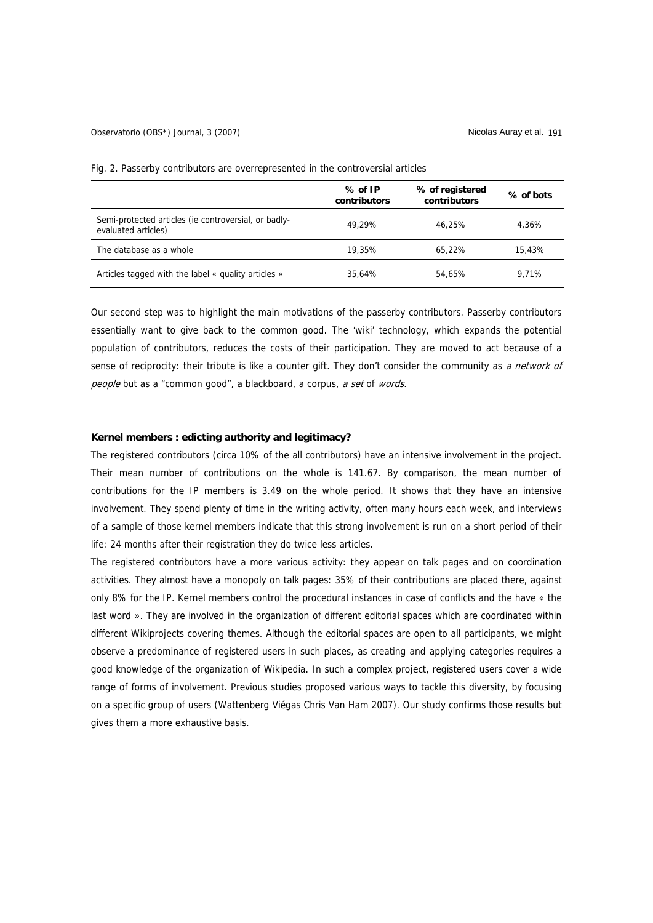|                                                                             | $%$ of IP<br>contributors | % of registered<br>contributors | % of bots |
|-----------------------------------------------------------------------------|---------------------------|---------------------------------|-----------|
| Semi-protected articles (ie controversial, or badly-<br>evaluated articles) | 49.29%                    | 46.25%                          | 4.36%     |
| The database as a whole                                                     | 19,35%                    | 65.22%                          | 15.43%    |
| Articles tagged with the label « quality articles »                         | 35.64%                    | 54.65%                          | 9.71%     |

Fig. 2. Passerby contributors are overrepresented in the controversial articles

Our second step was to highlight the main motivations of the passerby contributors. Passerby contributors essentially want to give back to the common good. The 'wiki' technology, which expands the potential population of contributors, reduces the costs of their participation. They are moved to act because of a sense of reciprocity: their tribute is like a counter gift. They don't consider the community as a network of people but as a "common good", a blackboard, a corpus, a set of words.

# **Kernel members : edicting authority and legitimacy?**

The registered contributors (circa 10% of the all contributors) have an intensive involvement in the project. Their mean number of contributions on the whole is 141.67. By comparison, the mean number of contributions for the IP members is 3.49 on the whole period. It shows that they have an intensive involvement. They spend plenty of time in the writing activity, often many hours each week, and interviews of a sample of those kernel members indicate that this strong involvement is run on a short period of their life: 24 months after their registration they do twice less articles.

The registered contributors have a more various activity: they appear on talk pages and on coordination activities. They almost have a monopoly on talk pages: 35% of their contributions are placed there, against only 8% for the IP. Kernel members control the procedural instances in case of conflicts and the have « the last word ». They are involved in the organization of different editorial spaces which are coordinated within different Wikiprojects covering themes. Although the editorial spaces are open to all participants, we might observe a predominance of registered users in such places, as creating and applying categories requires a good knowledge of the organization of Wikipedia. In such a complex project, registered users cover a wide range of forms of involvement. Previous studies proposed various ways to tackle this diversity, by focusing on a specific group of users (Wattenberg Viégas Chris Van Ham 2007). Our study confirms those results but gives them a more exhaustive basis.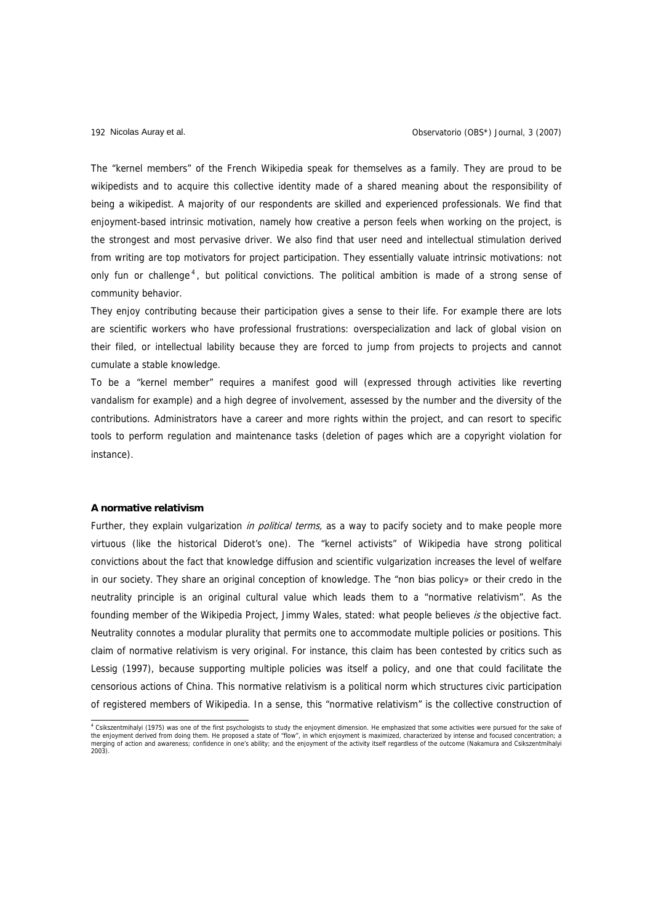The "kernel members" of the French Wikipedia speak for themselves as a family. They are proud to be wikipedists and to acquire this collective identity made of a shared meaning about the responsibility of being a wikipedist. A majority of our respondents are skilled and experienced professionals. We find that enjoyment-based intrinsic motivation, namely how creative a person feels when working on the project, is the strongest and most pervasive driver. We also find that user need and intellectual stimulation derived from writing are top motivators for project participation. They essentially valuate intrinsic motivations: not only fun or challenge<sup>[4](#page-7-0)</sup>, but political convictions. The political ambition is made of a strong sense of community behavior.

They enjoy contributing because their participation gives a sense to their life. For example there are lots are scientific workers who have professional frustrations: overspecialization and lack of global vision on their filed, or intellectual lability because they are forced to jump from projects to projects and cannot cumulate a stable knowledge.

To be a "kernel member" requires a manifest good will (expressed through activities like reverting vandalism for example) and a high degree of involvement, assessed by the number and the diversity of the contributions. Administrators have a career and more rights within the project, and can resort to specific tools to perform regulation and maintenance tasks (deletion of pages which are a copyright violation for instance).

# **A normative relativism**

Further, they explain vulgarization *in political terms*, as a way to pacify society and to make people more virtuous (like the historical Diderot's one). The "kernel activists" of Wikipedia have strong political convictions about the fact that knowledge diffusion and scientific vulgarization increases the level of welfare in our society. They share an original conception of knowledge. The "non bias policy» or their credo in the neutrality principle is an original cultural value which leads them to a "normative relativism". As the founding member of the Wikipedia Project, Jimmy Wales, stated: what people believes is the objective fact. Neutrality connotes a modular plurality that permits one to accommodate multiple policies or positions. This claim of normative relativism is very original. For instance, this claim has been contested by critics such as Lessig (1997), because supporting multiple policies was itself a policy, and one that could facilitate the censorious actions of China. This normative relativism is a political norm which structures civic participation of registered members of Wikipedia. In a sense, this "normative relativism" is the collective construction of

<span id="page-7-0"></span><sup>4</sup> Csikszentmihalyi (1975) was one of the first psychologists to study the enjoyment dimension. He emphasized that some activities were pursued for the sake of<br>the enjoyment derived from doing them. He proposed a state of "  $100.9<sub>1</sub>$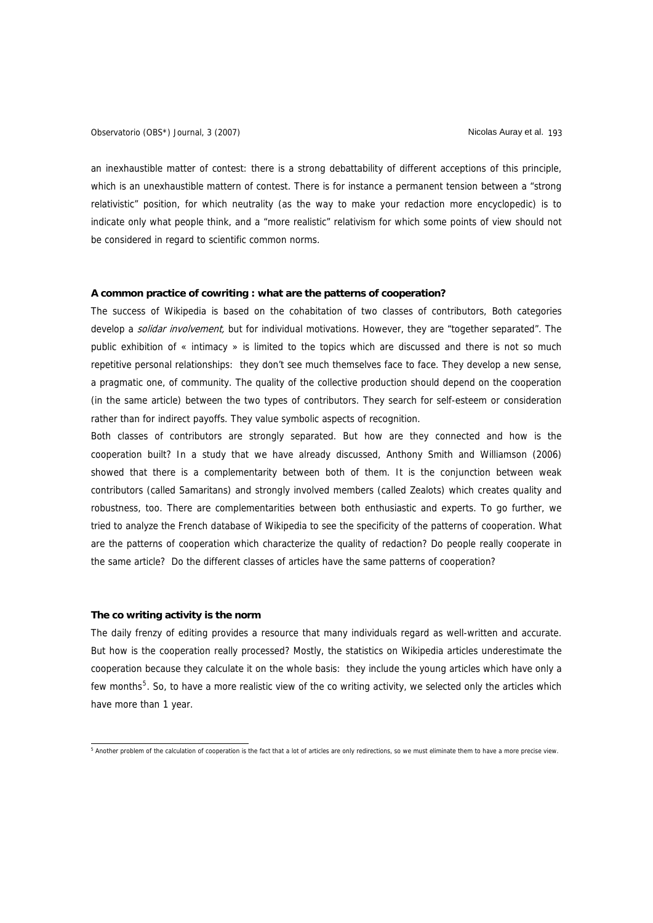Observatorio (OBS\*) Journal, 3 (2007) Nicolas Auray et al. 193

an inexhaustible matter of contest: there is a strong debattability of different acceptions of this principle, which is an unexhaustible mattern of contest. There is for instance a permanent tension between a "strong relativistic" position, for which neutrality (as the way to make your redaction more encyclopedic) is to indicate only what people think, and a "more realistic" relativism for which some points of view should not be considered in regard to scientific common norms.

# **A common practice of cowriting : what are the patterns of cooperation?**

The success of Wikipedia is based on the cohabitation of two classes of contributors, Both categories develop a solidar involvement, but for individual motivations. However, they are "together separated". The public exhibition of « intimacy » is limited to the topics which are discussed and there is not so much repetitive personal relationships: they don't see much themselves face to face. They develop a new sense, a pragmatic one, of community. The quality of the collective production should depend on the cooperation (in the same article) between the two types of contributors. They search for self-esteem or consideration rather than for indirect payoffs. They value symbolic aspects of recognition.

Both classes of contributors are strongly separated. But how are they connected and how is the cooperation built? In a study that we have already discussed, Anthony Smith and Williamson (2006) showed that there is a complementarity between both of them. It is the conjunction between weak contributors (called Samaritans) and strongly involved members (called Zealots) which creates quality and robustness, too. There are complementarities between both enthusiastic and experts. To go further, we tried to analyze the French database of Wikipedia to see the specificity of the patterns of cooperation. What are the patterns of cooperation which characterize the quality of redaction? Do people really cooperate in the same article? Do the different classes of articles have the same patterns of cooperation?

# **The co writing activity is the norm**

The daily frenzy of editing provides a resource that many individuals regard as well-written and accurate. But how is the cooperation really processed? Mostly, the statistics on Wikipedia articles underestimate the cooperation because they calculate it on the whole basis: they include the young articles which have only a few months<sup>[5](#page-8-0)</sup>. So, to have a more realistic view of the co writing activity, we selected only the articles which have more than 1 year.

<span id="page-8-0"></span><sup>&</sup>lt;sub>5</sub><br>Another problem of the calculation of cooperation is the fact that a lot of articles are only redirections, so we must eliminate them to have a more precise view.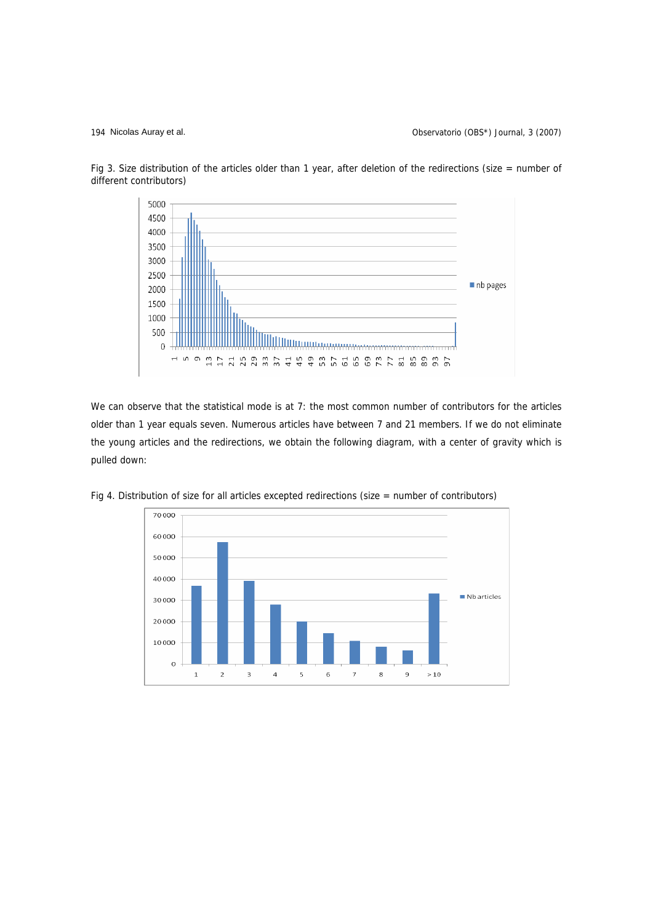194 Nicolas Auray et al. Observatorio (OBS\*) Journal, 3 (2007)



Fig 3. Size distribution of the articles older than 1 year, after deletion of the redirections (size = number of different contributors)

We can observe that the statistical mode is at 7: the most common number of contributors for the articles older than 1 year equals seven. Numerous articles have between 7 and 21 members. If we do not eliminate the young articles and the redirections, we obtain the following diagram, with a center of gravity which is pulled down:



Fig 4. Distribution of size for all articles excepted redirections (size = number of contributors)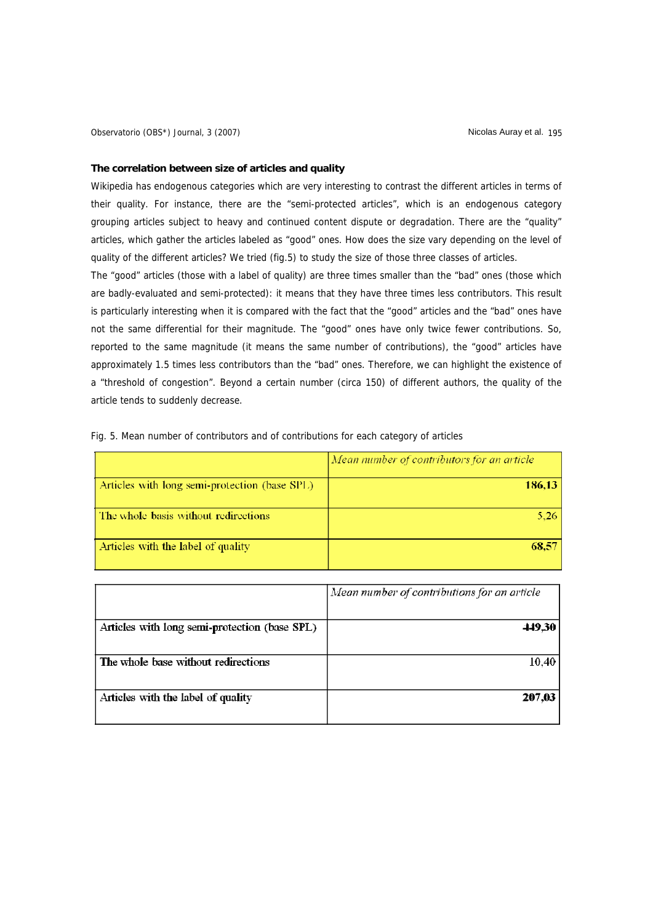Observatorio (OBS\*) Journal, 3 (2007) (Observatorio (OBS\*) Journal, 3 (2007)

## **The correlation between size of articles and quality**

Wikipedia has endogenous categories which are very interesting to contrast the different articles in terms of their quality. For instance, there are the "semi-protected articles", which is an endogenous category grouping articles subject to heavy and continued content dispute or degradation. There are the "quality" articles, which gather the articles labeled as "good" ones. How does the size vary depending on the level of quality of the different articles? We tried (fig.5) to study the size of those three classes of articles.

The "good" articles (those with a label of quality) are three times smaller than the "bad" ones (those which are badly-evaluated and semi-protected): it means that they have three times less contributors. This result is particularly interesting when it is compared with the fact that the "good" articles and the "bad" ones have not the same differential for their magnitude. The "good" ones have only twice fewer contributions. So, reported to the same magnitude (it means the same number of contributions), the "good" articles have approximately 1.5 times less contributors than the "bad" ones. Therefore, we can highlight the existence of a "threshold of congestion". Beyond a certain number (circa 150) of different authors, the quality of the article tends to suddenly decrease.

|                                               | Mean number of contributors for an article |  |
|-----------------------------------------------|--------------------------------------------|--|
| Articles with long semi-protection (base SPL) | 186,13                                     |  |
| The whole basis without redirections          | 5,26                                       |  |
| Articles with the label of quality            | 68.57                                      |  |

Fig. 5. Mean number of contributors and of contributions for each category of articles

|                                               | Mean number of contributions for an article |  |
|-----------------------------------------------|---------------------------------------------|--|
| Articles with long semi-protection (base SPL) | 449,30                                      |  |
| The whole base without redirections           | 10.40                                       |  |
| Articles with the label of quality            | 207,03                                      |  |
|                                               |                                             |  |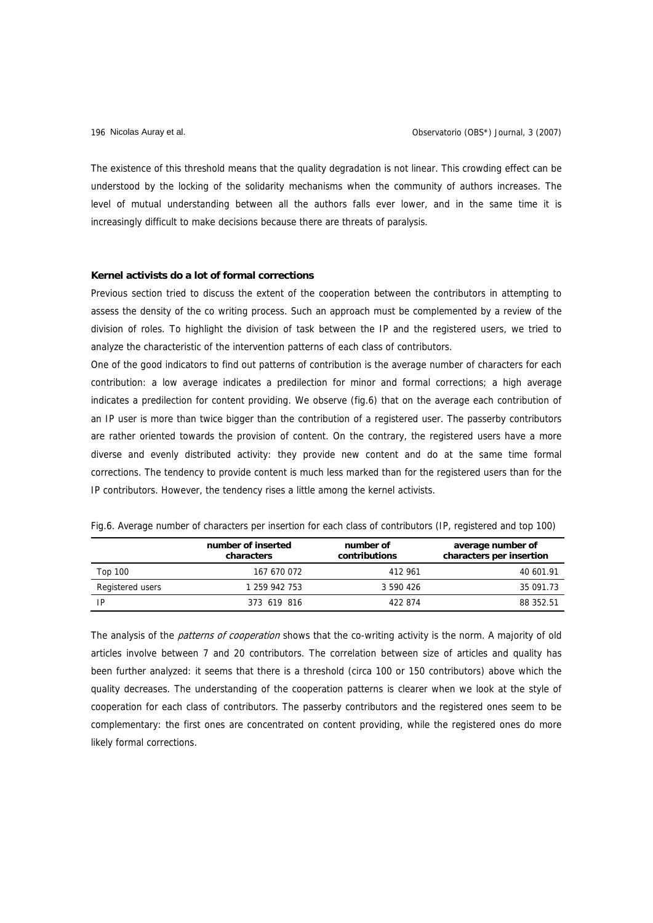The existence of this threshold means that the quality degradation is not linear. This crowding effect can be understood by the locking of the solidarity mechanisms when the community of authors increases. The level of mutual understanding between all the authors falls ever lower, and in the same time it is increasingly difficult to make decisions because there are threats of paralysis.

#### **Kernel activists do a lot of formal corrections**

Previous section tried to discuss the extent of the cooperation between the contributors in attempting to assess the density of the co writing process. Such an approach must be complemented by a review of the division of roles. To highlight the division of task between the IP and the registered users, we tried to analyze the characteristic of the intervention patterns of each class of contributors.

One of the good indicators to find out patterns of contribution is the average number of characters for each contribution: a low average indicates a predilection for minor and formal corrections; a high average indicates a predilection for content providing. We observe (fig.6) that on the average each contribution of an IP user is more than twice bigger than the contribution of a registered user. The passerby contributors are rather oriented towards the provision of content. On the contrary, the registered users have a more diverse and evenly distributed activity: they provide new content and do at the same time formal corrections. The tendency to provide content is much less marked than for the registered users than for the IP contributors. However, the tendency rises a little among the kernel activists.

|                  | number of inserted<br>characters | number of<br>contributions | average number of<br>characters per insertion |
|------------------|----------------------------------|----------------------------|-----------------------------------------------|
| Top 100          | 167 670 072                      | 412 961                    | 40 601.91                                     |
| Registered users | 1 259 942 753                    | 3 590 426                  | 35 091.73                                     |
| ΙP               | 373 619 816                      | 422 874                    | 88 352.51                                     |

Fig.6. Average number of characters per insertion for each class of contributors (IP, registered and top 100)

The analysis of the *patterns of cooperation* shows that the co-writing activity is the norm. A majority of old articles involve between 7 and 20 contributors. The correlation between size of articles and quality has been further analyzed: it seems that there is a threshold (circa 100 or 150 contributors) above which the quality decreases. The understanding of the cooperation patterns is clearer when we look at the style of cooperation for each class of contributors. The passerby contributors and the registered ones seem to be complementary: the first ones are concentrated on content providing, while the registered ones do more likely formal corrections.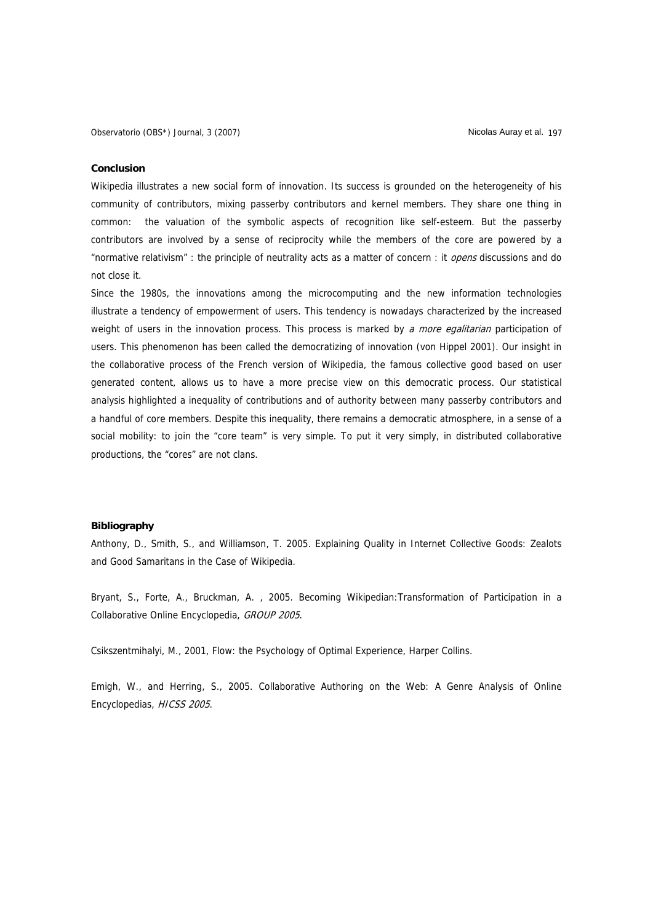#### **Conclusion**

Wikipedia illustrates a new social form of innovation. Its success is grounded on the heterogeneity of his community of contributors, mixing passerby contributors and kernel members. They share one thing in common: the valuation of the symbolic aspects of recognition like self-esteem. But the passerby contributors are involved by a sense of reciprocity while the members of the core are powered by a "normative relativism" : the principle of neutrality acts as a matter of concern : it *opens* discussions and do not close it.

Since the 1980s, the innovations among the microcomputing and the new information technologies illustrate a tendency of empowerment of users. This tendency is nowadays characterized by the increased weight of users in the innovation process. This process is marked by a more egalitarian participation of users. This phenomenon has been called the democratizing of innovation (von Hippel 2001). Our insight in the collaborative process of the French version of Wikipedia, the famous collective good based on user generated content, allows us to have a more precise view on this democratic process. Our statistical analysis highlighted a inequality of contributions and of authority between many passerby contributors and a handful of core members. Despite this inequality, there remains a democratic atmosphere, in a sense of a social mobility: to join the "core team" is very simple. To put it very simply, in distributed collaborative productions, the "cores" are not clans.

# **Bibliography**

Anthony, D., Smith, S., and Williamson, T. 2005. Explaining Quality in Internet Collective Goods: Zealots and Good Samaritans in the Case of Wikipedia.

Bryant, S., Forte, A., Bruckman, A. , 2005. Becoming Wikipedian:Transformation of Participation in a Collaborative Online Encyclopedia, GROUP 2005.

Csikszentmihalyi, M., 2001, Flow: the Psychology of Optimal Experience, Harper Collins.

Emigh, W., and Herring, S., 2005. Collaborative Authoring on the Web: A Genre Analysis of Online Encyclopedias, HICSS 2005.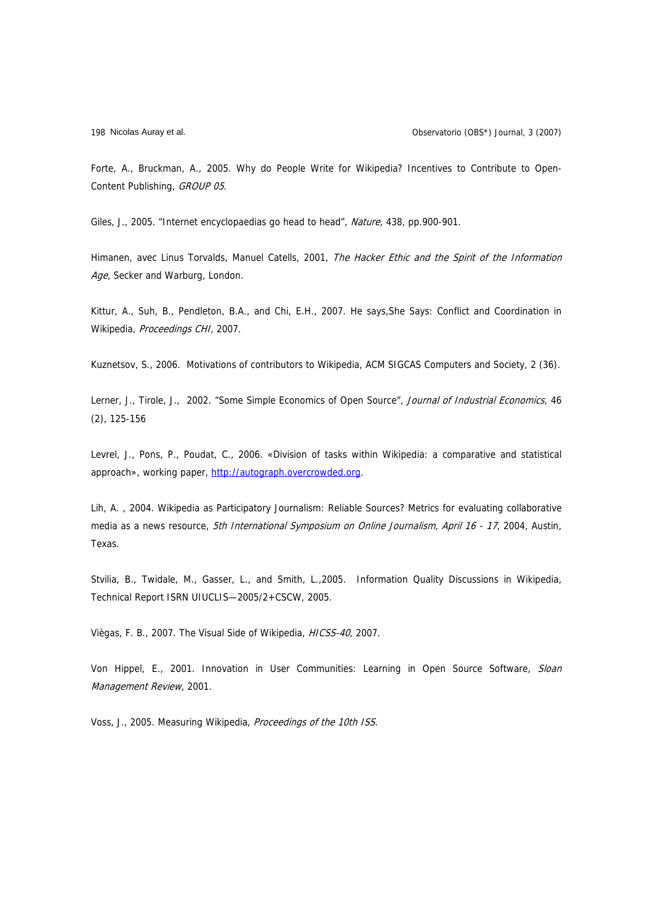Forte, A., Bruckman, A., 2005. Why do People Write for Wikipedia? Incentives to Contribute to Open-Content Publishing, GROUP 05.

Giles, J., 2005. "Internet encyclopaedias go head to head", Nature, 438, pp.900-901.

Himanen, avec Linus Torvalds, Manuel Catells, 2001, The Hacker Ethic and the Spirit of the Information Age, Secker and Warburg, London.

Kittur, A., Suh, B., Pendleton, B.A., and Chi, E.H., 2007. He says,She Says: Conflict and Coordination in Wikipedia, Proceedings CHI, 2007.

Kuznetsov, S., 2006. Motivations of contributors to Wikipedia, ACM SIGCAS Computers and Society, 2 (36).

Lerner, J., Tirole, J., 2002. "Some Simple Economics of Open Source", Journal of Industrial Economics, 46 (2), 125-156

Levrel, J., Pons, P., Poudat, C., 2006. «Division of tasks within Wikipedia: a comparative and statistical approach», working paper, [http://autograph.overcrowded.org.](http://autograph.overcrowded.org/)

Lih, A. , 2004. Wikipedia as Participatory Journalism: Reliable Sources? Metrics for evaluating collaborative media as a news resource, 5th International Symposium on Online Journalism, April 16 - 17, 2004, Austin, Texas.

Stvilia, B., Twidale, M., Gasser, L., and Smith, L.,2005. Information Quality Discussions in Wikipedia, Technical Report ISRN UIUCLIS—2005/2+CSCW, 2005.

Viègas, F. B., 2007. The Visual Side of Wikipedia, HICSS-40, 2007.

Von Hippel, E., 2001. Innovation in User Communities: Learning in Open Source Software, Sloan Management Review, 2001.

Voss, J., 2005. Measuring Wikipedia, Proceedings of the 10th ISS.